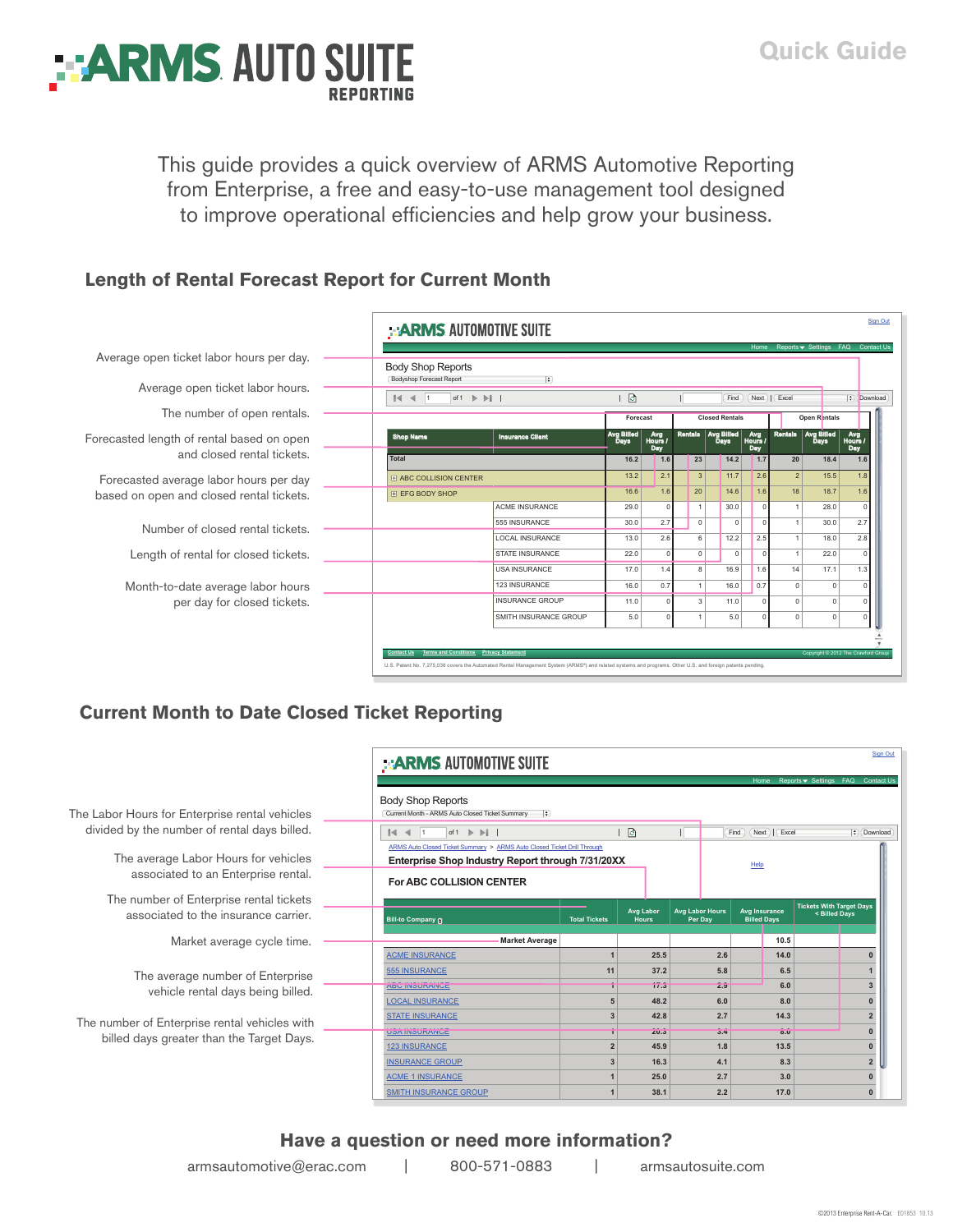

This guide provides a quick overview of ARMS Automotive Reporting from Enterprise, a free and easy-to-use management tool designed to improve operational efficiencies and help grow your business.

### **Length of Rental Forecast Report for Current Month**

|                                                                         | <b>ARMS AUTOMOTIVE SUITE</b>                                                                            |                                                    |                           |                       |                       |                           |                       |                |                                  |                                 |  |
|-------------------------------------------------------------------------|---------------------------------------------------------------------------------------------------------|----------------------------------------------------|---------------------------|-----------------------|-----------------------|---------------------------|-----------------------|----------------|----------------------------------|---------------------------------|--|
| Average open ticket labor hours per day.                                | Home Reports ▼ Settings FAQ Contact Us<br><b>Body Shop Reports</b><br>Bodyshop Forecast Report<br>$ $ : |                                                    |                           |                       |                       |                           |                       |                |                                  |                                 |  |
| Average open ticket labor hours.                                        | $14 - 4 - 1$                                                                                            | of 1 $\triangleright$ $\triangleright$ $\parallel$ |                           |                       |                       | Find                      |                       | Next   Excel   |                                  | $\left  \cdot \right $ Download |  |
| The number of open rentals.                                             |                                                                                                         |                                                    |                           | Forecast              | <b>Closed Rentals</b> |                           |                       | Open Rentals   |                                  |                                 |  |
| Forecasted length of rental based on open<br>and closed rental tickets. | <b>Shop Name</b>                                                                                        | <b>Insurance Client</b>                            | Avg Billed<br><b>Days</b> | Avg<br>Hours /<br>Day | <b>Rentals</b>        | Avg Billed<br><b>Days</b> | Avg<br>Hours /<br>Day | <b>Rentals</b> | <b>Avg Billed</b><br><b>Days</b> | Avg<br>Hours<br>Day             |  |
|                                                                         | <b>Total</b>                                                                                            |                                                    | 16.2                      | 1.6                   | 23                    | 14.2                      | 1.7                   | 20             | 18.4                             | 1.6                             |  |
| Forecasted average labor hours per day                                  | <b>FI ABC COLLISION CENTER</b>                                                                          |                                                    | 13.2                      | 2.1                   | 3                     | 11.7                      | 2.6                   | 2              | 15.5                             | 1.8                             |  |
| based on open and closed rental tickets.                                | <b>H EFG BODY SHOP</b>                                                                                  |                                                    | 16.6                      | 1.6                   | 20                    | 14.6                      | 1.6                   | 18             | 18.7                             | 1.6                             |  |
|                                                                         |                                                                                                         | <b>ACME INSURANCE</b>                              | 29.0                      | $\Omega$              | $\overline{1}$        | 30.0                      | $\Omega$              | $\overline{1}$ | 28.0                             |                                 |  |
| Number of closed rental tickets.                                        |                                                                                                         | 555 INSURANCE                                      | 30.0                      | 2.7                   | $\Omega$              | $\Omega$                  |                       |                | 30.0                             | 2.7                             |  |
|                                                                         |                                                                                                         | LOCAL INSURANCE                                    | 13.0                      | 2.6                   | 6                     | 12.2                      | 2.5                   |                | 18.0                             | 2.8                             |  |
| Length of rental for closed tickets.                                    |                                                                                                         | <b>STATE INSURANCE</b>                             | 22.0                      |                       | $\circ$               | $\circ$                   |                       |                | 22.0                             |                                 |  |
|                                                                         |                                                                                                         | <b>USA INSURANCE</b>                               | 17.0                      | 1.4                   | 8 <sup>1</sup>        | 16.9                      | 1.6                   | 14             | 17.1                             | 1.3                             |  |
| Month-to-date average labor hours                                       |                                                                                                         | 123 INSURANCE                                      | 16.0                      | 0.7                   |                       | 16.0                      | 0.7                   | $\Omega$       | $\mathbf 0$                      |                                 |  |
| per day for closed tickets.                                             |                                                                                                         | <b>INSURANCE GROUP</b>                             | 11.0                      |                       | $\mathbf{3}$          | 11.0                      |                       | $\Omega$       | $\mathbf 0$                      |                                 |  |
|                                                                         |                                                                                                         | SMITH INSURANCE GROUP                              | 5.0                       |                       |                       | 5.0                       |                       | $^{\circ}$     | $\circ$                          |                                 |  |

U.S. Patent No. 7,275,038 covers the Automated Rental Management System (ARMS®) and related systems and programs. Other U.S. and foreign patents pending.

## **Current Month to Date Closed Ticket Reporting**

|                                                                                 | ::: ARMS AUTOMOTIVE SUITE                                                                                                    |                      |                           |                                   |                                     |                                                  | Sign Out       |  |  |
|---------------------------------------------------------------------------------|------------------------------------------------------------------------------------------------------------------------------|----------------------|---------------------------|-----------------------------------|-------------------------------------|--------------------------------------------------|----------------|--|--|
|                                                                                 | Reports ▼ Settings FAQ Contact Us<br>Home                                                                                    |                      |                           |                                   |                                     |                                                  |                |  |  |
| The Labor Hours for Enterprise rental vehicles                                  | <b>Body Shop Reports</b><br>$\bullet$<br>Current Month - ARMS Auto Closed Ticket Summary                                     |                      |                           |                                   |                                     |                                                  |                |  |  |
| divided by the number of rental days billed.                                    | ाञ<br>of $1 \rightarrow \rightarrow \rightarrow \rightarrow$<br>$\ \cdot\ $ $\ \cdot\ $ 1<br>Next<br>  Excel<br>Find         |                      |                           |                                   |                                     |                                                  |                |  |  |
| The average Labor Hours for vehicles<br>associated to an Enterprise rental.     | ARMS Auto Closed Ticket Summary > ARMS Auto Closed Ticket Drill Through<br>Enterprise Shop Industry Report through 7/31/20XX |                      | Help                      |                                   |                                     |                                                  |                |  |  |
|                                                                                 | <b>For ABC COLLISION CENTER</b>                                                                                              |                      |                           |                                   |                                     |                                                  |                |  |  |
| The number of Enterprise rental tickets<br>associated to the insurance carrier. | <b>Bill-to Company @</b>                                                                                                     | <b>Total Tickets</b> | <b>Avg Labor</b><br>Hours | <b>Avg Labor Hours</b><br>Per Day | Avg Insurance<br><b>Billed Days</b> | <b>Tickets With Target Days</b><br>< Billed Davs |                |  |  |
| Market average cycle time.                                                      | <b>Market Average</b>                                                                                                        |                      |                           |                                   |                                     | 10.5                                             |                |  |  |
|                                                                                 | <b>ACME INSURANCE</b>                                                                                                        |                      | 25.5                      | 2.6                               |                                     | 14.0                                             |                |  |  |
| The average number of Enterprise                                                | <b>555 INSURANCE</b>                                                                                                         | 11                   | 37.2                      | 5.8                               |                                     | 6.5                                              |                |  |  |
| vehicle rental days being billed.                                               | <b>ABU INSURANCE</b>                                                                                                         |                      | 71.3                      | Z.9                               |                                     | 6.0                                              |                |  |  |
|                                                                                 | <b>LOCAL INSURANCE</b>                                                                                                       |                      | 48.2                      | 6.0                               |                                     | 8.0                                              |                |  |  |
| The number of Enterprise rental vehicles with                                   | <b>STATE INSURANCE</b>                                                                                                       |                      | 42.8                      | 2.7                               |                                     | 14.3                                             | 2              |  |  |
| billed days greater than the Target Days.                                       | <b>USA INSURANCE</b>                                                                                                         |                      | 20.3                      |                                   | 3.4<br>$0.\overline{0}$             |                                                  |                |  |  |
|                                                                                 | <b>123 INSURANCE</b>                                                                                                         |                      | 45.9                      | 1.8                               |                                     | 13.5                                             |                |  |  |
|                                                                                 | <b>INSURANCE GROUP</b>                                                                                                       |                      | 16.3                      | 4.1                               |                                     | 8.3                                              | $\overline{2}$ |  |  |
|                                                                                 | <b>ACME 1 INSURANCE</b>                                                                                                      |                      | 25.0                      | 2.7                               |                                     | 3.0                                              |                |  |  |
|                                                                                 | <b>SMITH INSURANCE GROUP</b>                                                                                                 |                      | 38.1                      | 2.2                               |                                     | 17.0                                             |                |  |  |

#### **Have a question or need more information?** armsautomotive@erac.com | 800-571-0883 |  $a$ <sup>*rmsautosuite.com*</sup>